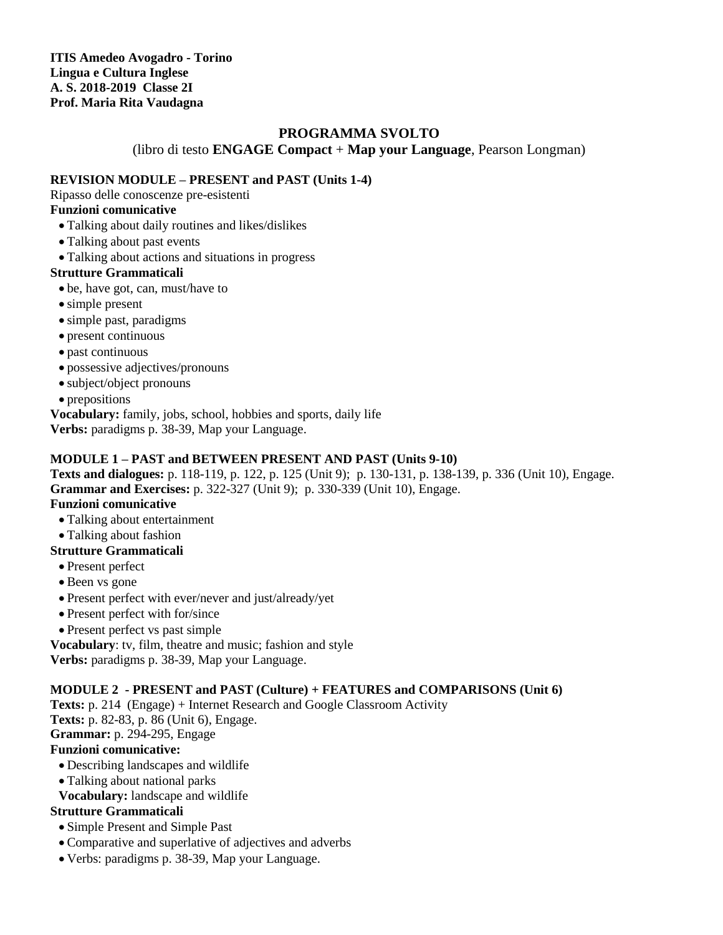**ITIS Amedeo Avogadro - Torino Lingua e Cultura Inglese A. S. 2018-2019 Classe 2I Prof. Maria Rita Vaudagna**

# **PROGRAMMA SVOLTO**

(libro di testo **ENGAGE Compact** + **Map your Language**, Pearson Longman)

#### **REVISION MODULE – PRESENT and PAST (Units 1-4)**

Ripasso delle conoscenze pre-esistenti

### **Funzioni comunicative**

- Talking about daily routines and likes/dislikes
- Talking about past events
- Talking about actions and situations in progress

### **Strutture Grammaticali**

- be, have got, can, must/have to
- simple present
- simple past, paradigms
- present continuous
- past continuous
- possessive adjectives/pronouns
- subject/object pronouns
- prepositions

**Vocabulary:** family, jobs, school, hobbies and sports, daily life

**Verbs:** paradigms p. 38-39, Map your Language.

### **MODULE 1 – PAST and BETWEEN PRESENT AND PAST (Units 9-10)**

**Texts and dialogues:** p. 118-119, p. 122, p. 125 (Unit 9); p. 130-131, p. 138-139, p. 336 (Unit 10), Engage. **Grammar and Exercises:** p. 322-327 (Unit 9); p. 330-339 (Unit 10), Engage.

## **Funzioni comunicative**

- Talking about entertainment
- Talking about fashion

### **Strutture Grammaticali**

- Present perfect
- Been vs gone
- Present perfect with ever/never and just/already/yet
- Present perfect with for/since
- Present perfect vs past simple

**Vocabulary**: tv, film, theatre and music; fashion and style

**Verbs:** paradigms p. 38-39, Map your Language.

### **MODULE 2 - PRESENT and PAST (Culture) + FEATURES and COMPARISONS (Unit 6)**

**Texts:** p. 214 (Engage) + Internet Research and Google Classroom Activity

**Texts:** p. 82-83, p. 86 (Unit 6), Engage.

**Grammar:** p. 294-295, Engage

### **Funzioni comunicative:**

- Describing landscapes and wildlife
- Talking about national parks
- **Vocabulary:** landscape and wildlife

# **Strutture Grammaticali**

- Simple Present and Simple Past
- Comparative and superlative of adjectives and adverbs
- Verbs: paradigms p. 38-39, Map your Language.